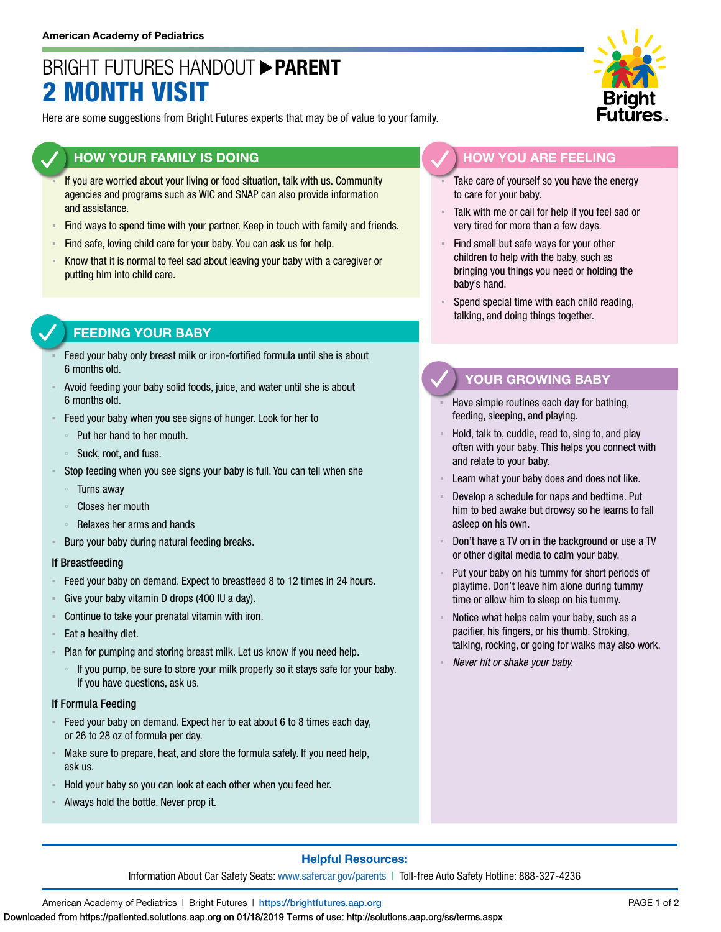## BRIGHT FUTURES HANDOUT **PARENT** 2 MONTH VISIT

Here are some suggestions from Bright Futures experts that may be of value to your family.

### **HOW YOUR FAMILY IS DOING**

- If you are worried about your living or food situation, talk with us. Community agencies and programs such as WIC and SNAP can also provide information and assistance.
- Find ways to spend time with your partner. Keep in touch with family and friends.
- **EXTED 15 Find safe, loving child care for your baby. You can ask us for help.**
- Know that it is normal to feel sad about leaving your baby with a caregiver or putting him into child care.

## **FEEDING YOUR BABY**

- Feed your baby only breast milk or iron-fortified formula until she is about 6 months old.
- Avoid feeding your baby solid foods, juice, and water until she is about 6 months old.
- Feed your baby when you see signs of hunger. Look for her to
	- Put her hand to her mouth.
	- Suck, root, and fuss.
- Stop feeding when you see signs your baby is full. You can tell when she
	- **Turns away**
	- Closes her mouth
	- Relaxes her arms and hands
- Burp your baby during natural feeding breaks.

#### If Breastfeeding

- Feed your baby on demand. Expect to breastfeed 8 to 12 times in 24 hours.
- Give your baby vitamin D drops (400 IU a day).
- Continue to take your prenatal vitamin with iron.
- Eat a healthy diet.
- Plan for pumping and storing breast milk. Let us know if you need help.
	- If you pump, be sure to store your milk properly so it stays safe for your baby. If you have questions, ask us.

#### If Formula Feeding

- Feed your baby on demand. Expect her to eat about 6 to 8 times each day, or 26 to 28 oz of formula per day.
- Make sure to prepare, heat, and store the formula safely. If you need help, ask us.
- Hold your baby so you can look at each other when you feed her.
- Always hold the bottle. Never prop it.



## **HOW YOU ARE FEELING**

- Take care of yourself so you have the energy to care for your baby.
- Talk with me or call for help if you feel sad or very tired for more than a few days.
- **EXECT** Find small but safe ways for your other children to help with the baby, such as bringing you things you need or holding the baby's hand.
- Spend special time with each child reading, talking, and doing things together.

### **YOUR GROWING BABY**

- Have simple routines each day for bathing, feeding, sleeping, and playing.
- Hold, talk to, cuddle, read to, sing to, and play often with your baby. This helps you connect with and relate to your baby.
- Learn what your baby does and does not like.
- Develop a schedule for naps and bedtime. Put him to bed awake but drowsy so he learns to fall asleep on his own.
- Don't have a TV on in the background or use a TV or other digital media to calm your baby.
- Put your baby on his tummy for short periods of playtime. Don't leave him alone during tummy time or allow him to sleep on his tummy.
- Notice what helps calm your baby, such as a pacifier, his fingers, or his thumb. Stroking, talking, rocking, or going for walks may also work.
- *Never hit or shake your baby.*

#### **Helpful Resources:**

Information About Car Safety Seats: [www.safercar.gov/parents](https://www.nhtsa.gov/parents-and-caregivers) | Toll-free Auto Safety Hotline: 888-327-4236

American Academy of Pediatrics | Bright Futures | https:/[/brightfutures.aap.org](https://brightfutures.aap.org/Pages/default.aspx) PAGE 1 of 2

Downloaded from https://patiented.solutions.aap.org on 01/18/2019 Terms of use: http://solutions.aap.org/ss/terms.aspx